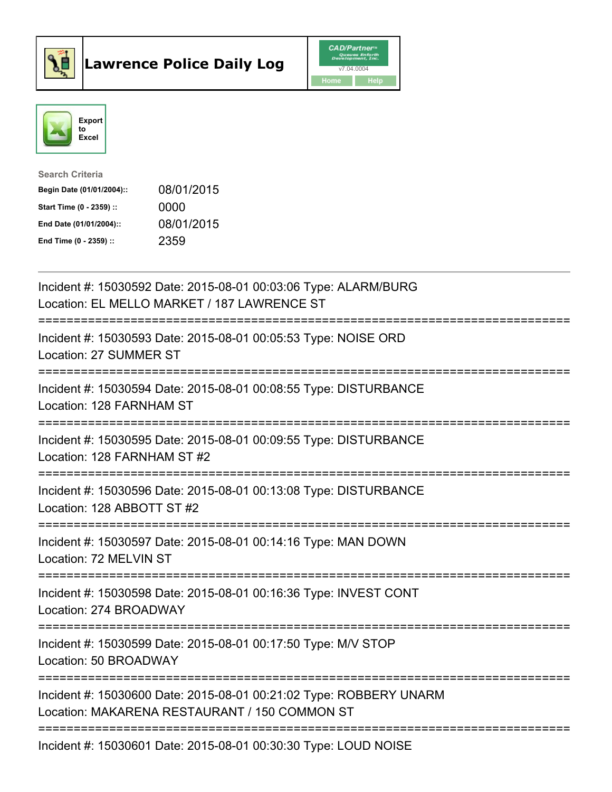



| <b>Search Criteria</b>    |            |
|---------------------------|------------|
| Begin Date (01/01/2004):: | 08/01/2015 |
| Start Time (0 - 2359) ::  | 0000       |
| End Date (01/01/2004)::   | 08/01/2015 |
| End Time $(0 - 2359)$ :   | 2359       |

| Incident #: 15030592 Date: 2015-08-01 00:03:06 Type: ALARM/BURG<br>Location: EL MELLO MARKET / 187 LAWRENCE ST      |
|---------------------------------------------------------------------------------------------------------------------|
| Incident #: 15030593 Date: 2015-08-01 00:05:53 Type: NOISE ORD<br>Location: 27 SUMMER ST                            |
| Incident #: 15030594 Date: 2015-08-01 00:08:55 Type: DISTURBANCE<br>Location: 128 FARNHAM ST                        |
| Incident #: 15030595 Date: 2015-08-01 00:09:55 Type: DISTURBANCE<br>Location: 128 FARNHAM ST #2                     |
| Incident #: 15030596 Date: 2015-08-01 00:13:08 Type: DISTURBANCE<br>Location: 128 ABBOTT ST #2                      |
| Incident #: 15030597 Date: 2015-08-01 00:14:16 Type: MAN DOWN<br>Location: 72 MELVIN ST                             |
| Incident #: 15030598 Date: 2015-08-01 00:16:36 Type: INVEST CONT<br>Location: 274 BROADWAY                          |
| Incident #: 15030599 Date: 2015-08-01 00:17:50 Type: M/V STOP<br>Location: 50 BROADWAY                              |
| Incident #: 15030600 Date: 2015-08-01 00:21:02 Type: ROBBERY UNARM<br>Location: MAKARENA RESTAURANT / 150 COMMON ST |
| Incident #: 15030601 Date: 2015-08-01 00:30:30 Type: LOUD NOISE                                                     |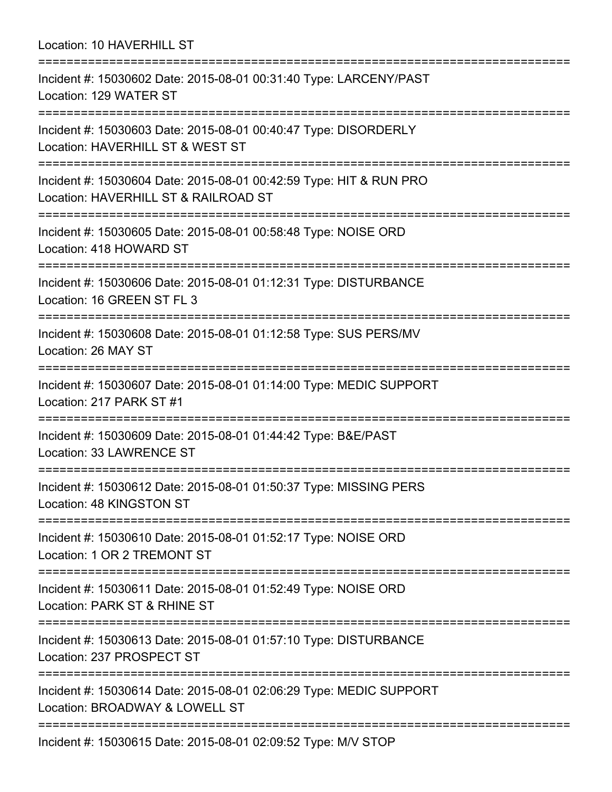Location: 10 HAVERHILL ST =========================================================================== Incident #: 15030602 Date: 2015-08-01 00:31:40 Type: LARCENY/PAST Location: 129 WATER ST =========================================================================== Incident #: 15030603 Date: 2015-08-01 00:40:47 Type: DISORDERLY Location: HAVERHILL ST & WEST ST =========================================================================== Incident #: 15030604 Date: 2015-08-01 00:42:59 Type: HIT & RUN PRO Location: HAVERHILL ST & RAILROAD ST =========================================================================== Incident #: 15030605 Date: 2015-08-01 00:58:48 Type: NOISE ORD Location: 418 HOWARD ST =========================================================================== Incident #: 15030606 Date: 2015-08-01 01:12:31 Type: DISTURBANCE Location: 16 GREEN ST FL 3 =========================================================================== Incident #: 15030608 Date: 2015-08-01 01:12:58 Type: SUS PERS/MV Location: 26 MAY ST =========================================================================== Incident #: 15030607 Date: 2015-08-01 01:14:00 Type: MEDIC SUPPORT Location: 217 PARK ST #1 =========================================================================== Incident #: 15030609 Date: 2015-08-01 01:44:42 Type: B&E/PAST Location: 33 LAWRENCE ST =========================================================================== Incident #: 15030612 Date: 2015-08-01 01:50:37 Type: MISSING PERS Location: 48 KINGSTON ST =========================================================================== Incident #: 15030610 Date: 2015-08-01 01:52:17 Type: NOISE ORD Location: 1 OR 2 TREMONT ST =========================================================================== Incident #: 15030611 Date: 2015-08-01 01:52:49 Type: NOISE ORD Location: PARK ST & RHINE ST =========================================================================== Incident #: 15030613 Date: 2015-08-01 01:57:10 Type: DISTURBANCE Location: 237 PROSPECT ST =========================================================================== Incident #: 15030614 Date: 2015-08-01 02:06:29 Type: MEDIC SUPPORT Location: BROADWAY & LOWELL ST =========================================================================== Incident #: 15030615 Date: 2015-08-01 02:09:52 Type: M/V STOP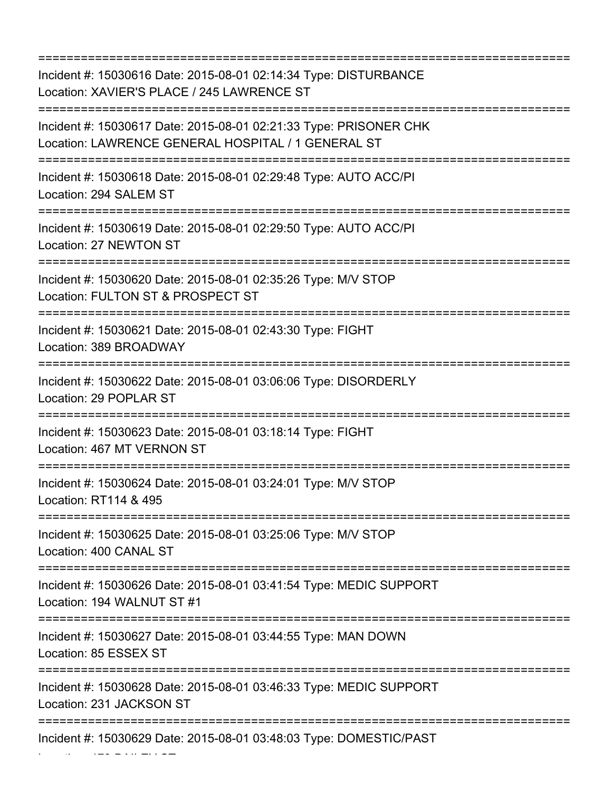=========================================================================== Incident #: 15030616 Date: 2015-08-01 02:14:34 Type: DISTURBANCE Location: XAVIER'S PLACE / 245 LAWRENCE ST =========================================================================== Incident #: 15030617 Date: 2015-08-01 02:21:33 Type: PRISONER CHK Location: LAWRENCE GENERAL HOSPITAL / 1 GENERAL ST =========================================================================== Incident #: 15030618 Date: 2015-08-01 02:29:48 Type: AUTO ACC/PI Location: 294 SALEM ST =========================================================================== Incident #: 15030619 Date: 2015-08-01 02:29:50 Type: AUTO ACC/PI Location: 27 NEWTON ST =========================================================================== Incident #: 15030620 Date: 2015-08-01 02:35:26 Type: M/V STOP Location: FULTON ST & PROSPECT ST =========================================================================== Incident #: 15030621 Date: 2015-08-01 02:43:30 Type: FIGHT Location: 389 BROADWAY =========================================================================== Incident #: 15030622 Date: 2015-08-01 03:06:06 Type: DISORDERLY Location: 29 POPLAR ST =========================================================================== Incident #: 15030623 Date: 2015-08-01 03:18:14 Type: FIGHT Location: 467 MT VERNON ST =========================================================================== Incident #: 15030624 Date: 2015-08-01 03:24:01 Type: M/V STOP Location: RT114 & 495 =========================================================================== Incident #: 15030625 Date: 2015-08-01 03:25:06 Type: M/V STOP Location: 400 CANAL ST =========================================================================== Incident #: 15030626 Date: 2015-08-01 03:41:54 Type: MEDIC SUPPORT Location: 194 WALNUT ST #1 =========================================================================== Incident #: 15030627 Date: 2015-08-01 03:44:55 Type: MAN DOWN Location: 85 ESSEX ST =========================================================================== Incident #: 15030628 Date: 2015-08-01 03:46:33 Type: MEDIC SUPPORT Location: 231 JACKSON ST =========================================================================== Incident #: 15030629 Date: 2015-08-01 03:48:03 Type: DOMESTIC/PAST

Location: 179 BAILEY ST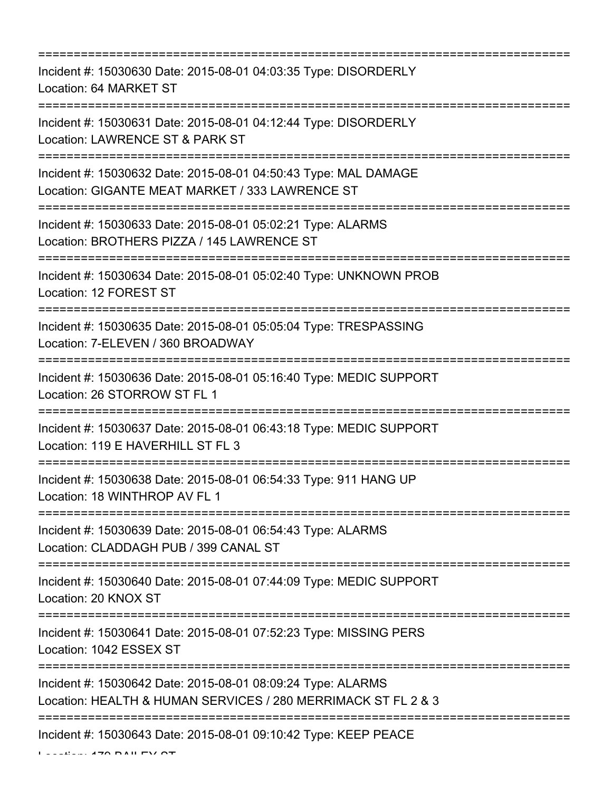=========================================================================== Incident #: 15030630 Date: 2015-08-01 04:03:35 Type: DISORDERLY Location: 64 MARKET ST =========================================================================== Incident #: 15030631 Date: 2015-08-01 04:12:44 Type: DISORDERLY Location: LAWRENCE ST & PARK ST =========================================================================== Incident #: 15030632 Date: 2015-08-01 04:50:43 Type: MAL DAMAGE Location: GIGANTE MEAT MARKET / 333 LAWRENCE ST =========================================================================== Incident #: 15030633 Date: 2015-08-01 05:02:21 Type: ALARMS Location: BROTHERS PIZZA / 145 LAWRENCE ST =========================================================================== Incident #: 15030634 Date: 2015-08-01 05:02:40 Type: UNKNOWN PROB Location: 12 FOREST ST =========================================================================== Incident #: 15030635 Date: 2015-08-01 05:05:04 Type: TRESPASSING Location: 7-ELEVEN / 360 BROADWAY =========================================================================== Incident #: 15030636 Date: 2015-08-01 05:16:40 Type: MEDIC SUPPORT Location: 26 STORROW ST FL 1 =========================================================================== Incident #: 15030637 Date: 2015-08-01 06:43:18 Type: MEDIC SUPPORT Location: 119 E HAVERHILL ST FL 3 =========================================================================== Incident #: 15030638 Date: 2015-08-01 06:54:33 Type: 911 HANG UP Location: 18 WINTHROP AV FL 1 =========================================================================== Incident #: 15030639 Date: 2015-08-01 06:54:43 Type: ALARMS Location: CLADDAGH PUB / 399 CANAL ST =========================================================================== Incident #: 15030640 Date: 2015-08-01 07:44:09 Type: MEDIC SUPPORT Location: 20 KNOX ST =========================================================================== Incident #: 15030641 Date: 2015-08-01 07:52:23 Type: MISSING PERS Location: 1042 ESSEX ST =========================================================================== Incident #: 15030642 Date: 2015-08-01 08:09:24 Type: ALARMS Location: HEALTH & HUMAN SERVICES / 280 MERRIMACK ST FL 2 & 3 =========================================================================== Incident #: 15030643 Date: 2015-08-01 09:10:42 Type: KEEP PEACE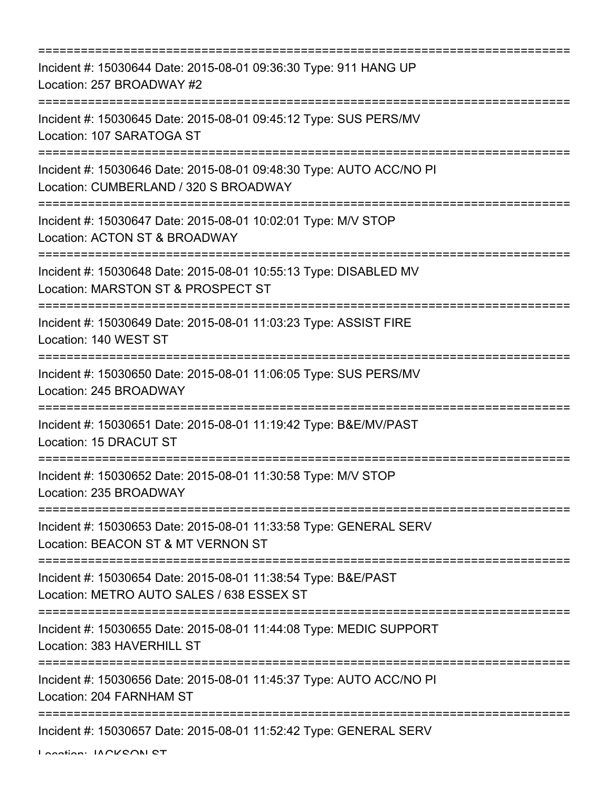| ===========================                                                                                            |
|------------------------------------------------------------------------------------------------------------------------|
| Incident #: 15030644 Date: 2015-08-01 09:36:30 Type: 911 HANG UP<br>Location: 257 BROADWAY #2                          |
| Incident #: 15030645 Date: 2015-08-01 09:45:12 Type: SUS PERS/MV<br>Location: 107 SARATOGA ST                          |
| Incident #: 15030646 Date: 2015-08-01 09:48:30 Type: AUTO ACC/NO PI<br>Location: CUMBERLAND / 320 S BROADWAY           |
| Incident #: 15030647 Date: 2015-08-01 10:02:01 Type: M/V STOP<br>Location: ACTON ST & BROADWAY                         |
| Incident #: 15030648 Date: 2015-08-01 10:55:13 Type: DISABLED MV<br>Location: MARSTON ST & PROSPECT ST                 |
| =========================<br>Incident #: 15030649 Date: 2015-08-01 11:03:23 Type: ASSIST FIRE<br>Location: 140 WEST ST |
| Incident #: 15030650 Date: 2015-08-01 11:06:05 Type: SUS PERS/MV<br>Location: 245 BROADWAY<br>=======================  |
| Incident #: 15030651 Date: 2015-08-01 11:19:42 Type: B&E/MV/PAST<br>Location: 15 DRACUT ST                             |
| Incident #: 15030652 Date: 2015-08-01 11:30:58 Type: M/V STOP<br>Location: 235 BROADWAY                                |
| Incident #: 15030653 Date: 2015-08-01 11:33:58 Type: GENERAL SERV<br>Location: BEACON ST & MT VERNON ST                |
| Incident #: 15030654 Date: 2015-08-01 11:38:54 Type: B&E/PAST<br>Location: METRO AUTO SALES / 638 ESSEX ST             |
| Incident #: 15030655 Date: 2015-08-01 11:44:08 Type: MEDIC SUPPORT<br>Location: 383 HAVERHILL ST                       |
| Incident #: 15030656 Date: 2015-08-01 11:45:37 Type: AUTO ACC/NO PI<br>Location: 204 FARNHAM ST                        |
| Incident #: 15030657 Date: 2015-08-01 11:52:42 Type: GENERAL SERV                                                      |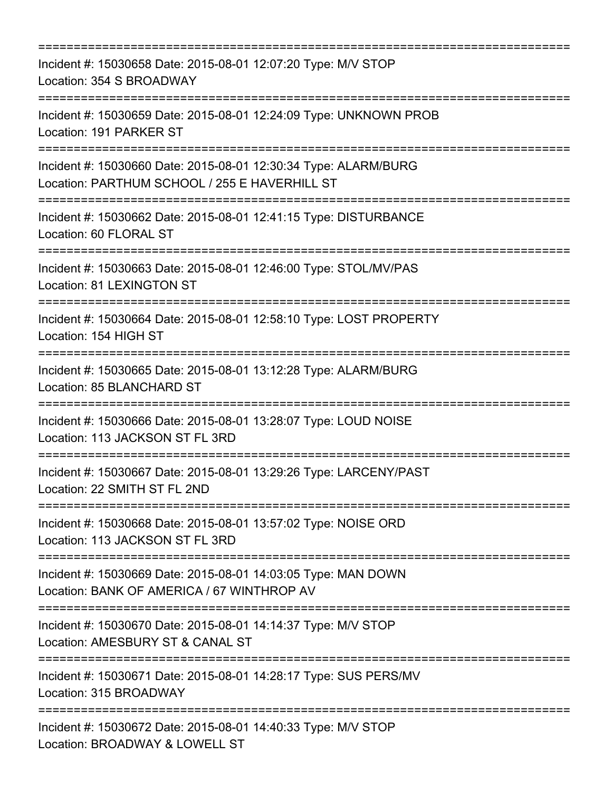| Incident #: 15030658 Date: 2015-08-01 12:07:20 Type: M/V STOP<br>Location: 354 S BROADWAY                        |
|------------------------------------------------------------------------------------------------------------------|
| Incident #: 15030659 Date: 2015-08-01 12:24:09 Type: UNKNOWN PROB<br>Location: 191 PARKER ST                     |
| Incident #: 15030660 Date: 2015-08-01 12:30:34 Type: ALARM/BURG<br>Location: PARTHUM SCHOOL / 255 E HAVERHILL ST |
| Incident #: 15030662 Date: 2015-08-01 12:41:15 Type: DISTURBANCE<br>Location: 60 FLORAL ST                       |
| Incident #: 15030663 Date: 2015-08-01 12:46:00 Type: STOL/MV/PAS<br>Location: 81 LEXINGTON ST                    |
| Incident #: 15030664 Date: 2015-08-01 12:58:10 Type: LOST PROPERTY<br>Location: 154 HIGH ST                      |
| Incident #: 15030665 Date: 2015-08-01 13:12:28 Type: ALARM/BURG<br>Location: 85 BLANCHARD ST                     |
| Incident #: 15030666 Date: 2015-08-01 13:28:07 Type: LOUD NOISE<br>Location: 113 JACKSON ST FL 3RD               |
| Incident #: 15030667 Date: 2015-08-01 13:29:26 Type: LARCENY/PAST<br>Location: 22 SMITH ST FL 2ND                |
| Incident #: 15030668 Date: 2015-08-01 13:57:02 Type: NOISE ORD<br>Location: 113 JACKSON ST FL 3RD                |
| Incident #: 15030669 Date: 2015-08-01 14:03:05 Type: MAN DOWN<br>Location: BANK OF AMERICA / 67 WINTHROP AV      |
| Incident #: 15030670 Date: 2015-08-01 14:14:37 Type: M/V STOP<br>Location: AMESBURY ST & CANAL ST                |
| Incident #: 15030671 Date: 2015-08-01 14:28:17 Type: SUS PERS/MV<br>Location: 315 BROADWAY                       |
| Incident #: 15030672 Date: 2015-08-01 14:40:33 Type: M/V STOP<br>Location: BROADWAY & LOWELL ST                  |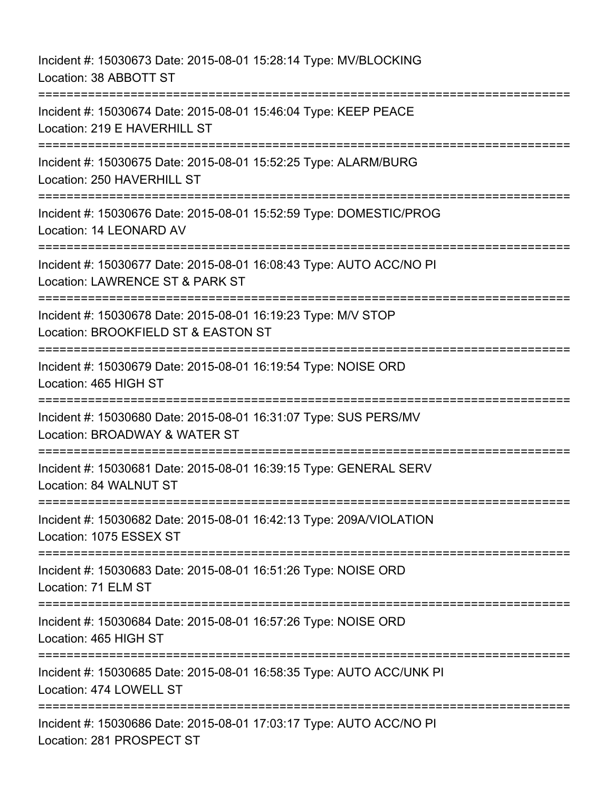Incident #: 15030673 Date: 2015-08-01 15:28:14 Type: MV/BLOCKING Location: 38 ABBOTT ST =========================================================================== Incident #: 15030674 Date: 2015-08-01 15:46:04 Type: KEEP PEACE Location: 219 E HAVERHILL ST =========================================================================== Incident #: 15030675 Date: 2015-08-01 15:52:25 Type: ALARM/BURG Location: 250 HAVERHILL ST =========================================================================== Incident #: 15030676 Date: 2015-08-01 15:52:59 Type: DOMESTIC/PROG Location: 14 LEONARD AV =========================================================================== Incident #: 15030677 Date: 2015-08-01 16:08:43 Type: AUTO ACC/NO PI Location: LAWRENCE ST & PARK ST =========================================================================== Incident #: 15030678 Date: 2015-08-01 16:19:23 Type: M/V STOP Location: BROOKFIELD ST & EASTON ST =========================================================================== Incident #: 15030679 Date: 2015-08-01 16:19:54 Type: NOISE ORD Location: 465 HIGH ST =========================================================================== Incident #: 15030680 Date: 2015-08-01 16:31:07 Type: SUS PERS/MV Location: BROADWAY & WATER ST =========================================================================== Incident #: 15030681 Date: 2015-08-01 16:39:15 Type: GENERAL SERV Location: 84 WALNUT ST =========================================================================== Incident #: 15030682 Date: 2015-08-01 16:42:13 Type: 209A/VIOLATION Location: 1075 ESSEX ST =========================================================================== Incident #: 15030683 Date: 2015-08-01 16:51:26 Type: NOISE ORD Location: 71 ELM ST =========================================================================== Incident #: 15030684 Date: 2015-08-01 16:57:26 Type: NOISE ORD Location: 465 HIGH ST =========================================================================== Incident #: 15030685 Date: 2015-08-01 16:58:35 Type: AUTO ACC/UNK PI Location: 474 LOWELL ST ======================= Incident #: 15030686 Date: 2015-08-01 17:03:17 Type: AUTO ACC/NO PI Location: 281 PROSPECT ST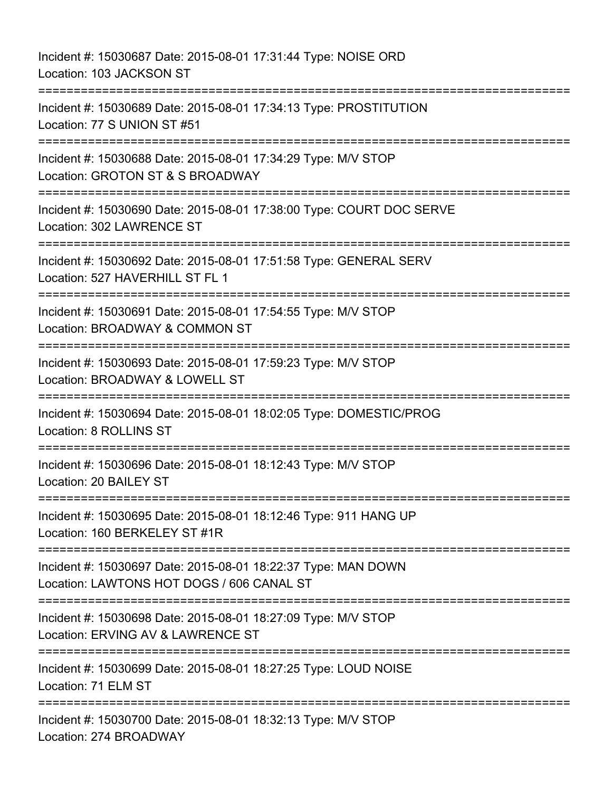Incident #: 15030687 Date: 2015-08-01 17:31:44 Type: NOISE ORD Location: 103 JACKSON ST =========================================================================== Incident #: 15030689 Date: 2015-08-01 17:34:13 Type: PROSTITUTION Location: 77 S UNION ST #51 =========================================================================== Incident #: 15030688 Date: 2015-08-01 17:34:29 Type: M/V STOP Location: GROTON ST & S BROADWAY =========================================================================== Incident #: 15030690 Date: 2015-08-01 17:38:00 Type: COURT DOC SERVE Location: 302 LAWRENCE ST =========================================================================== Incident #: 15030692 Date: 2015-08-01 17:51:58 Type: GENERAL SERV Location: 527 HAVERHILL ST FL 1 =========================================================================== Incident #: 15030691 Date: 2015-08-01 17:54:55 Type: M/V STOP Location: BROADWAY & COMMON ST =========================================================================== Incident #: 15030693 Date: 2015-08-01 17:59:23 Type: M/V STOP Location: BROADWAY & LOWELL ST =========================================================================== Incident #: 15030694 Date: 2015-08-01 18:02:05 Type: DOMESTIC/PROG Location: 8 ROLLINS ST =========================================================================== Incident #: 15030696 Date: 2015-08-01 18:12:43 Type: M/V STOP Location: 20 BAILEY ST =========================================================================== Incident #: 15030695 Date: 2015-08-01 18:12:46 Type: 911 HANG UP Location: 160 BERKELEY ST #1R =========================================================================== Incident #: 15030697 Date: 2015-08-01 18:22:37 Type: MAN DOWN Location: LAWTONS HOT DOGS / 606 CANAL ST =========================================================================== Incident #: 15030698 Date: 2015-08-01 18:27:09 Type: M/V STOP Location: ERVING AV & LAWRENCE ST =========================================================================== Incident #: 15030699 Date: 2015-08-01 18:27:25 Type: LOUD NOISE Location: 71 ELM ST =========================================================================== Incident #: 15030700 Date: 2015-08-01 18:32:13 Type: M/V STOP Location: 274 BROADWAY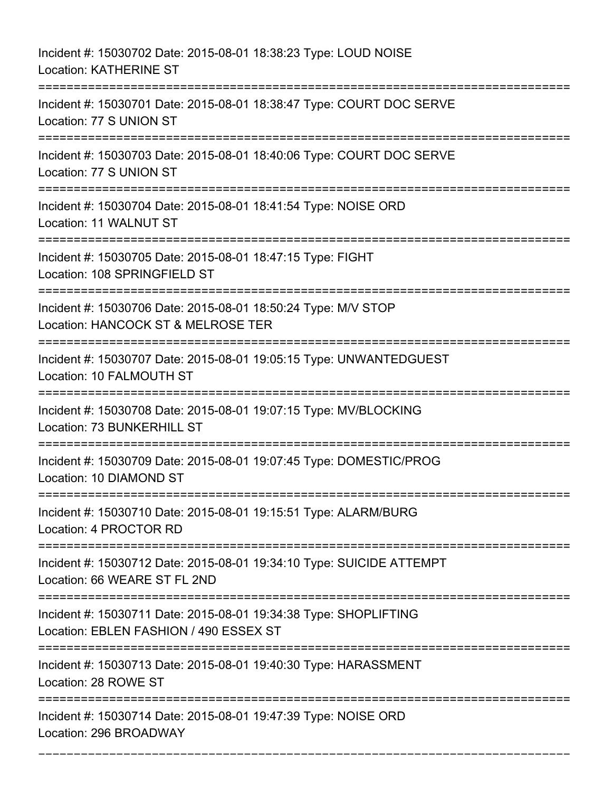Incident #: 15030702 Date: 2015-08-01 18:38:23 Type: LOUD NOISE Location: KATHERINE ST =========================================================================== Incident #: 15030701 Date: 2015-08-01 18:38:47 Type: COURT DOC SERVE Location: 77 S UNION ST =========================================================================== Incident #: 15030703 Date: 2015-08-01 18:40:06 Type: COURT DOC SERVE Location: 77 S UNION ST =========================================================================== Incident #: 15030704 Date: 2015-08-01 18:41:54 Type: NOISE ORD Location: 11 WALNUT ST =========================================================================== Incident #: 15030705 Date: 2015-08-01 18:47:15 Type: FIGHT Location: 108 SPRINGFIELD ST =========================================================================== Incident #: 15030706 Date: 2015-08-01 18:50:24 Type: M/V STOP Location: HANCOCK ST & MELROSE TER =========================================================================== Incident #: 15030707 Date: 2015-08-01 19:05:15 Type: UNWANTEDGUEST Location: 10 FALMOUTH ST =========================================================================== Incident #: 15030708 Date: 2015-08-01 19:07:15 Type: MV/BLOCKING Location: 73 BUNKERHILL ST =========================================================================== Incident #: 15030709 Date: 2015-08-01 19:07:45 Type: DOMESTIC/PROG Location: 10 DIAMOND ST =========================================================================== Incident #: 15030710 Date: 2015-08-01 19:15:51 Type: ALARM/BURG Location: 4 PROCTOR RD =========================================================================== Incident #: 15030712 Date: 2015-08-01 19:34:10 Type: SUICIDE ATTEMPT Location: 66 WEARE ST FL 2ND =========================================================================== Incident #: 15030711 Date: 2015-08-01 19:34:38 Type: SHOPLIFTING Location: EBLEN FASHION / 490 ESSEX ST =========================================================================== Incident #: 15030713 Date: 2015-08-01 19:40:30 Type: HARASSMENT Location: 28 ROWE ST =========================================================================== Incident #: 15030714 Date: 2015-08-01 19:47:39 Type: NOISE ORD Location: 296 BROADWAY

===========================================================================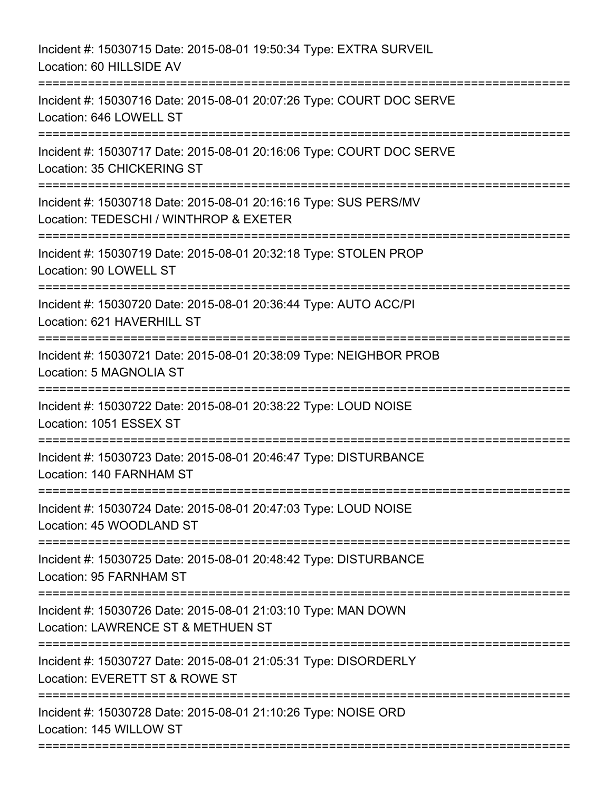Incident #: 15030715 Date: 2015-08-01 19:50:34 Type: EXTRA SURVEIL Location: 60 HILLSIDE AV =========================================================================== Incident #: 15030716 Date: 2015-08-01 20:07:26 Type: COURT DOC SERVE Location: 646 LOWELL ST =========================================================================== Incident #: 15030717 Date: 2015-08-01 20:16:06 Type: COURT DOC SERVE Location: 35 CHICKERING ST =========================================================================== Incident #: 15030718 Date: 2015-08-01 20:16:16 Type: SUS PERS/MV Location: TEDESCHI / WINTHROP & EXETER =========================================================================== Incident #: 15030719 Date: 2015-08-01 20:32:18 Type: STOLEN PROP Location: 90 LOWELL ST =========================================================================== Incident #: 15030720 Date: 2015-08-01 20:36:44 Type: AUTO ACC/PI Location: 621 HAVERHILL ST =========================================================================== Incident #: 15030721 Date: 2015-08-01 20:38:09 Type: NEIGHBOR PROB Location: 5 MAGNOLIA ST =========================================================================== Incident #: 15030722 Date: 2015-08-01 20:38:22 Type: LOUD NOISE Location: 1051 ESSEX ST =========================================================================== Incident #: 15030723 Date: 2015-08-01 20:46:47 Type: DISTURBANCE Location: 140 FARNHAM ST =========================================================================== Incident #: 15030724 Date: 2015-08-01 20:47:03 Type: LOUD NOISE Location: 45 WOODLAND ST =========================================================================== Incident #: 15030725 Date: 2015-08-01 20:48:42 Type: DISTURBANCE Location: 95 FARNHAM ST =========================================================================== Incident #: 15030726 Date: 2015-08-01 21:03:10 Type: MAN DOWN Location: LAWRENCE ST & METHUEN ST =========================================================================== Incident #: 15030727 Date: 2015-08-01 21:05:31 Type: DISORDERLY Location: EVERETT ST & ROWE ST =========================================================================== Incident #: 15030728 Date: 2015-08-01 21:10:26 Type: NOISE ORD Location: 145 WILLOW ST ===========================================================================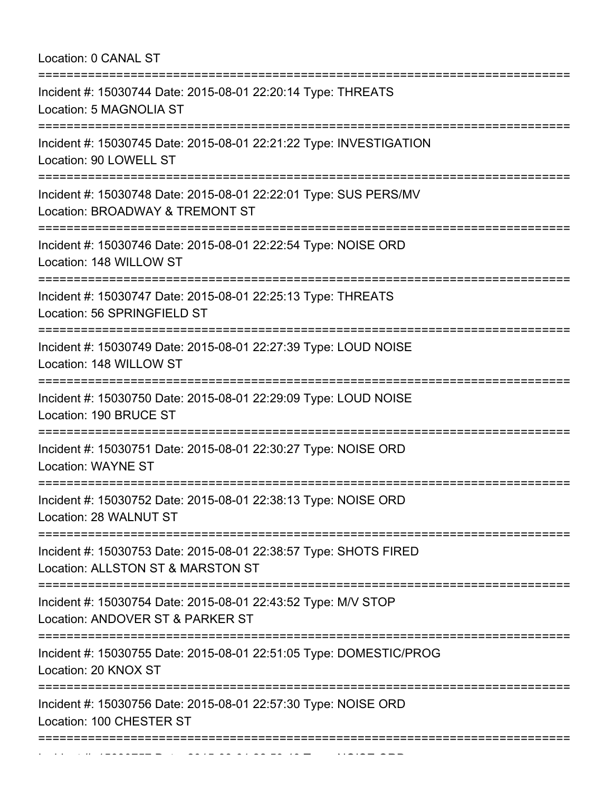Location: 0 CANAL ST

| Incident #: 15030744 Date: 2015-08-01 22:20:14 Type: THREATS<br>Location: 5 MAGNOLIA ST                                                                              |
|----------------------------------------------------------------------------------------------------------------------------------------------------------------------|
| Incident #: 15030745 Date: 2015-08-01 22:21:22 Type: INVESTIGATION<br>Location: 90 LOWELL ST                                                                         |
| Incident #: 15030748 Date: 2015-08-01 22:22:01 Type: SUS PERS/MV<br>Location: BROADWAY & TREMONT ST                                                                  |
| Incident #: 15030746 Date: 2015-08-01 22:22:54 Type: NOISE ORD<br>Location: 148 WILLOW ST                                                                            |
| Incident #: 15030747 Date: 2015-08-01 22:25:13 Type: THREATS<br>Location: 56 SPRINGFIELD ST                                                                          |
| Incident #: 15030749 Date: 2015-08-01 22:27:39 Type: LOUD NOISE<br>Location: 148 WILLOW ST                                                                           |
| Incident #: 15030750 Date: 2015-08-01 22:29:09 Type: LOUD NOISE<br>Location: 190 BRUCE ST                                                                            |
| Incident #: 15030751 Date: 2015-08-01 22:30:27 Type: NOISE ORD<br><b>Location: WAYNE ST</b>                                                                          |
| Incident #: 15030752 Date: 2015-08-01 22:38:13 Type: NOISE ORD<br>Location: 28 WALNUT ST                                                                             |
| ---------------------------------<br>======================<br>Incident #: 15030753 Date: 2015-08-01 22:38:57 Type: SHOTS FIRED<br>Location: ALLSTON ST & MARSTON ST |
| Incident #: 15030754 Date: 2015-08-01 22:43:52 Type: M/V STOP<br>Location: ANDOVER ST & PARKER ST                                                                    |
| Incident #: 15030755 Date: 2015-08-01 22:51:05 Type: DOMESTIC/PROG<br>Location: 20 KNOX ST                                                                           |
| Incident #: 15030756 Date: 2015-08-01 22:57:30 Type: NOISE ORD<br>Location: 100 CHESTER ST                                                                           |
| ===============<br>===============                                                                                                                                   |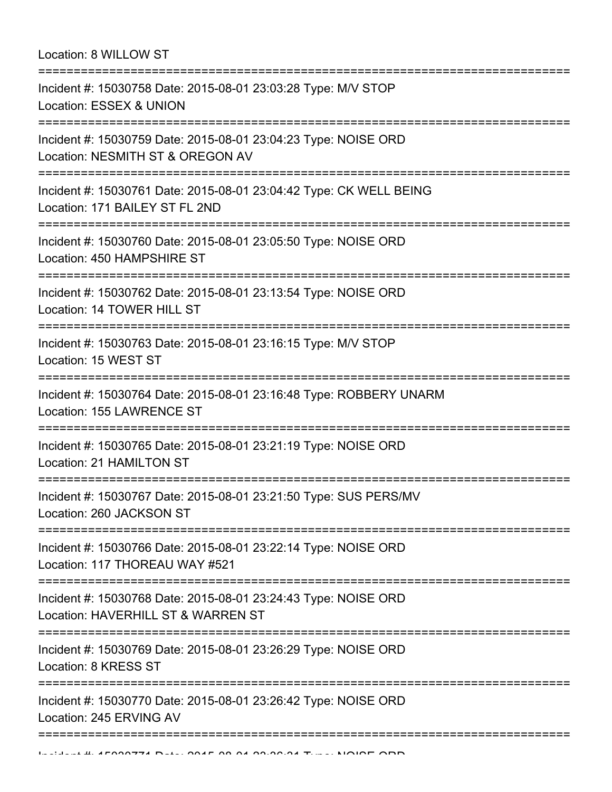## Location: 8 WILLOW ST

| Incident #: 15030758 Date: 2015-08-01 23:03:28 Type: M/V STOP<br>Location: ESSEX & UNION                                           |
|------------------------------------------------------------------------------------------------------------------------------------|
| Incident #: 15030759 Date: 2015-08-01 23:04:23 Type: NOISE ORD<br>Location: NESMITH ST & OREGON AV                                 |
| Incident #: 15030761 Date: 2015-08-01 23:04:42 Type: CK WELL BEING<br>Location: 171 BAILEY ST FL 2ND                               |
| Incident #: 15030760 Date: 2015-08-01 23:05:50 Type: NOISE ORD<br>Location: 450 HAMPSHIRE ST                                       |
| Incident #: 15030762 Date: 2015-08-01 23:13:54 Type: NOISE ORD<br>Location: 14 TOWER HILL ST                                       |
| Incident #: 15030763 Date: 2015-08-01 23:16:15 Type: M/V STOP<br>Location: 15 WEST ST                                              |
| ===============================<br>Incident #: 15030764 Date: 2015-08-01 23:16:48 Type: ROBBERY UNARM<br>Location: 155 LAWRENCE ST |
| ----------------------------------<br>Incident #: 15030765 Date: 2015-08-01 23:21:19 Type: NOISE ORD<br>Location: 21 HAMILTON ST   |
| --------------------<br>Incident #: 15030767 Date: 2015-08-01 23:21:50 Type: SUS PERS/MV<br>Location: 260 JACKSON ST               |
| Incident #: 15030766 Date: 2015-08-01 23:22:14 Type: NOISE ORD<br>Location: 117 THOREAU WAY #521                                   |
| Incident #: 15030768 Date: 2015-08-01 23:24:43 Type: NOISE ORD<br>Location: HAVERHILL ST & WARREN ST                               |
| ------------------------<br>Incident #: 15030769 Date: 2015-08-01 23:26:29 Type: NOISE ORD<br>Location: 8 KRESS ST                 |
| Incident #: 15030770 Date: 2015-08-01 23:26:42 Type: NOISE ORD<br>Location: 245 ERVING AV                                          |
|                                                                                                                                    |